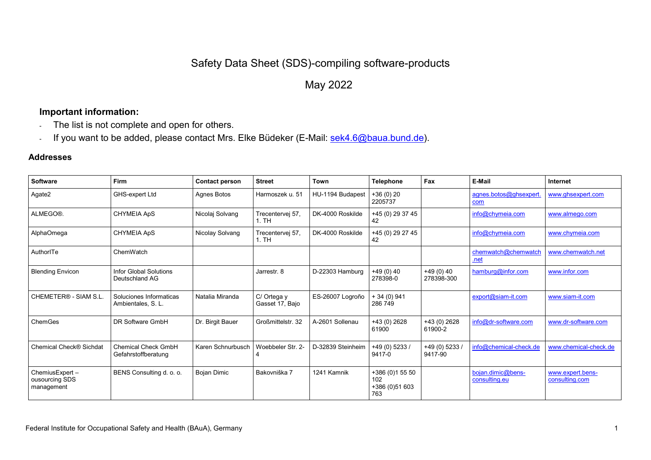## Safety Data Sheet (SDS)-compiling software-products

## May 2022

## **Important information:**

- The list is not complete and open for others.
- If you want to be added, please contact Mrs. Elke Büdeker (E-Mail: [sek4.6@baua.bund.de\)](mailto:sek4.6@baua.bund.de).

## **Addresses**

| Software                                        | Firm                                              | <b>Contact person</b> | <b>Street</b>                  | Town              | <b>Telephone</b>                                | Fax                        | E-Mail                             | Internet                           |
|-------------------------------------------------|---------------------------------------------------|-----------------------|--------------------------------|-------------------|-------------------------------------------------|----------------------------|------------------------------------|------------------------------------|
| Agate2                                          | GHS-expert Ltd                                    | Agnes Botos           | Harmoszek u. 51                | HU-1194 Budapest  | $+36(0)20$<br>2205737                           |                            | agnes.botos@ghsexpert.<br>com      | www.ghsexpert.com                  |
| ALMEGO®.                                        | CHYMEIA ApS                                       | Nicolaj Solvang       | Trecentervej 57,<br>1.TH       | DK-4000 Roskilde  | +45 (0) 29 37 45<br>42                          |                            | info@chymeia.com                   | www.almego.com                     |
| AlphaOmega                                      | <b>CHYMEIA ApS</b>                                | Nicolay Solvang       | Trecentervej 57,<br>1. TH      | DK-4000 Roskilde  | +45 (0) 29 27 45<br>42                          |                            | info@chymeia.com                   | www.chymeia.com                    |
| AuthorITe                                       | ChemWatch                                         |                       |                                |                   |                                                 |                            | chemwatch@chemwatch<br><u>.net</u> | www.chemwatch.net                  |
| <b>Blending Envicon</b>                         | Infor Global Solutions<br>Deutschland AG          |                       | Jarrestr. 8                    | D-22303 Hamburg   | $+49(0)40$<br>278398-0                          | +49 (0) 40<br>278398-300   | $h$ amburg@infor.com               | www.infor.com                      |
| CHEMETER® - SIAM S.L.                           | Soluciones Informaticas<br>Ambientales, S. L.     | Natalia Miranda       | C/ Ortega y<br>Gasset 17, Bajo | ES-26007 Logroño  | $+34(0)941$<br>286 749                          |                            | export@siam-it.com                 | www.siam-it.com                    |
| ChemGes                                         | DR Software GmbH                                  | Dr. Birgit Bauer      | Großmittelstr. 32              | A-2601 Sollenau   | +43 (0) 2628<br>61900                           | +43 (0) 2628<br>61900-2    | info@dr-software.com               | www.dr-software.com                |
| Chemical Check® Sichdat                         | <b>Chemical Check GmbH</b><br>Gefahrstoffberatung | Karen Schnurbusch     | Woebbeler Str. 2-              | D-32839 Steinheim | +49 (0) 5233 /<br>9417-0                        | $+49(0)$ 5233 /<br>9417-90 | info@chemical-check.de             | www.chemical-check.de              |
| ChemiusExpert -<br>ousourcing SDS<br>management | BENS Consulting d. o. o.                          | <b>Bojan Dimic</b>    | Bakovniška 7                   | 1241 Kamnik       | +386 (0)1 55 50<br>102<br>+386 (0)51 603<br>763 |                            | bojan.dimic@bens-<br>consulting.eu | www.expert.bens-<br>consulting.com |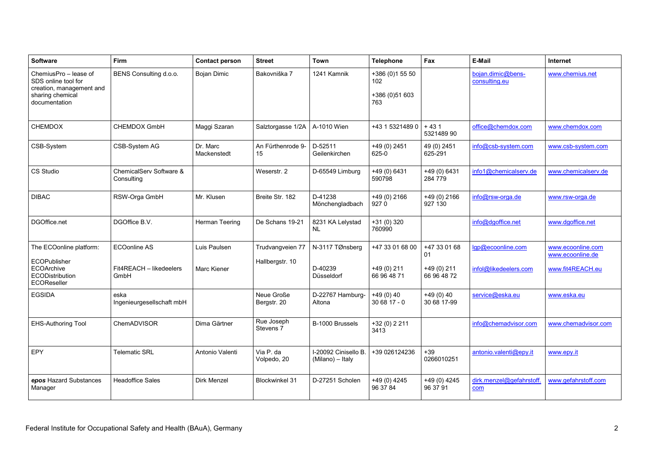| <b>Software</b>                                                                                               | Firm                                  | <b>Contact person</b>   | <b>Street</b>                      | Town                                     | <b>Telephone</b>                                | Fax                         | E-Mail                             | Internet                              |
|---------------------------------------------------------------------------------------------------------------|---------------------------------------|-------------------------|------------------------------------|------------------------------------------|-------------------------------------------------|-----------------------------|------------------------------------|---------------------------------------|
| ChemiusPro - lease of<br>SDS online tool for<br>creation, management and<br>sharing chemical<br>documentation | BENS Consulting d.o.o.                | <b>Bojan Dimic</b>      | Bakovniška 7                       | 1241 Kamnik                              | +386 (0)1 55 50<br>102<br>+386 (0)51 603<br>763 |                             | bojan.dimic@bens-<br>consulting.eu | www.chemius.net                       |
| <b>CHEMDOX</b>                                                                                                | CHEMDOX GmbH                          | Maggi Szaran            | Salztorgasse 1/2A                  | A-1010 Wien                              | +43 1 5321489 0                                 | $+431$<br>5321489 90        | office@chemdox.com                 | www.chemdox.com                       |
| CSB-System                                                                                                    | CSB-System AG                         | Dr. Marc<br>Mackenstedt | An Fürthenrode 9-<br>15            | D-52511<br>Geilenkirchen                 | +49 (0) 2451<br>625-0                           | 49 (0) 2451<br>625-291      | info@csb-system.com                | www.csb-system.com                    |
| CS Studio                                                                                                     | ChemicalServ Software &<br>Consulting |                         | Weserstr. 2                        | D-65549 Limburg                          | $+49(0)6431$<br>590798                          | $+49(0)6431$<br>284 779     | info1@chemicalserv.de              | www.chemicalserv.de                   |
| <b>DIBAC</b>                                                                                                  | RSW-Orga GmbH                         | Mr. Klusen              | Breite Str. 182                    | D-41238<br>Mönchengladbach               | +49 (0) 2166<br>9270                            | +49 (0) 2166<br>927 130     | info@rsw-orga.de                   | www.rsw-orga.de                       |
| DGOffice.net                                                                                                  | DGOffice B.V.                         | Herman Teering          | De Schans 19-21                    | 8231 KA Lelystad<br><b>NL</b>            | +31 (0) 320<br>760990                           |                             | info@dgoffice.net                  | www.dgoffice.net                      |
| The ECOonline platform:                                                                                       | <b>ECOonline AS</b>                   | Luis Paulsen            | Trudvangveien 77                   | N-3117 TØnsberg                          | +47 33 01 68 00                                 | +47 33 01 68<br>01          | lgp@ecoonline.com                  | www.ecoonline.com<br>www.ecoonline.de |
| ECOPublisher<br>ECOArchive<br><b>ECODistribution</b><br>ECOReseller                                           | Fit4REACH - likedeelers<br>GmbH       | <b>Marc Kiener</b>      | Hallbergstr. 10                    | D-40239<br>Düsseldorf                    | $+49(0)211$<br>66 96 48 71                      | $+49(0)$ 211<br>66 96 48 72 | infol@likedeelers.com              | www.fit4REACH.eu                      |
| <b>EGSIDA</b>                                                                                                 | eska<br>Ingenieurgesellschaft mbH     |                         | Neue Große<br>Bergstr. 20          | D-22767 Hamburg-<br>Altona               | $+49(0)40$<br>30 68 17 - 0                      | $+49(0)40$<br>30 68 17-99   | service@eska.eu                    | www.eska.eu                           |
| <b>EHS-Authoring Tool</b>                                                                                     | ChemADVISOR                           | Dima Gärtner            | Rue Joseph<br>Stevens <sub>7</sub> | B-1000 Brussels                          | +32 (0) 2 211<br>3413                           |                             | info@chemadvisor.com               | www.chemadvisor.com                   |
| EPY                                                                                                           | Telematic SRL                         | Antonio Valenti         | Via P. da<br>Volpedo, 20           | I-20092 Cinisello B.<br>(Milano) - Italy | +39 026124236                                   | $+39$<br>0266010251         | antonio.valenti@epy.it             | www.epy.it                            |
| epos Hazard Substances<br>Manager                                                                             | <b>Headoffice Sales</b>               | <b>Dirk Menzel</b>      | <b>Blockwinkel 31</b>              | D-27251 Scholen                          | $+49(0)4245$<br>96 37 84                        | +49 (0) 4245<br>96 37 91    | dirk.menzel@gefahrstoff.<br>com    | www.gefahrstoff.com                   |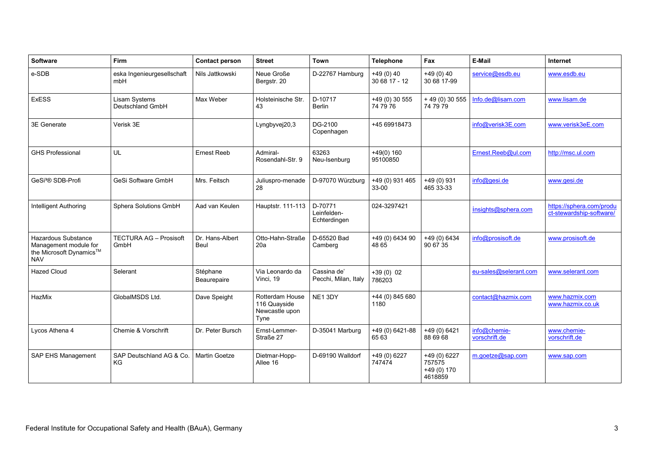| Software                                                                              | Firm                                  | <b>Contact person</b>   | <b>Street</b>                                             | Town                                   | <b>Telephone</b>            | Fax                                              | E-Mail                        | Internet                                             |
|---------------------------------------------------------------------------------------|---------------------------------------|-------------------------|-----------------------------------------------------------|----------------------------------------|-----------------------------|--------------------------------------------------|-------------------------------|------------------------------------------------------|
| e-SDB                                                                                 | eska Ingenieurgesellschaft<br>mbH     | Nils Jattkowski         | Neue Große<br>Bergstr. 20                                 | D-22767 Hamburg                        | $+49(0)40$<br>30 68 17 - 12 | $+49(0)40$<br>30 68 17-99                        | service@esdb.eu               | www.esdb.eu                                          |
| <b>ExESS</b>                                                                          | Lisam Systems<br>Deutschland GmbH     | Max Weber               | Holsteinische Str.<br>43                                  | D-10717<br><b>Berlin</b>               | +49 (0) 30 555<br>74 79 76  | $+49(0)30555$<br>74 79 79                        | Info.de@lisam.com             | www.lisam.de                                         |
| 3E Generate                                                                           | Verisk 3E                             |                         | Lyngbyvej20,3                                             | DG-2100<br>Copenhagen                  | +45 69918473                |                                                  | info@verisk3E.com             | www.verisk3eE.com                                    |
| <b>GHS Professional</b>                                                               | UL                                    | <b>Ernest Reeb</b>      | Admiral-<br>Rosendahl-Str. 9                              | 63263<br>Neu-Isenburg                  | $+49(0)$ 160<br>95100850    |                                                  | Ernest.Reeb@ul.com            | http://msc.ul.com                                    |
| GeSi <sup>3</sup> ® SDB-Profi                                                         | GeSi Software GmbH                    | Mrs. Feitsch            | Juliuspro-menade<br>28                                    | D-97070 Würzburg                       | +49 (0) 931 465<br>33-00    | $+49(0)$ 931<br>465 33-33                        | info@qesi.de                  | www.gesi.de                                          |
| Intelligent Authoring                                                                 | Sphera Solutions GmbH                 | Aad van Keulen          | Hauptstr. 111-113                                         | D-70771<br>Leinfelden-<br>Echterdingen | 024-3297421                 |                                                  | insights@sphera.com           | https://sphera.com/produ<br>ct-stewardship-software/ |
| Hazardous Substance<br>Management module for<br>the Microsoft Dynamics™<br><b>NAV</b> | <b>TECTURA AG - Prosisoft</b><br>GmbH | Dr. Hans-Albert<br>Beul | Otto-Hahn-Straße<br>20a                                   | D-65520 Bad<br>Camberg                 | +49 (0) 6434 90<br>48 65    | $+49(0)6434$<br>90 67 35                         | info@prosisoft.de             | www.prosisoft.de                                     |
| <b>Hazed Cloud</b>                                                                    | Selerant                              | Stéphane<br>Beaurepaire | Via Leonardo da<br>Vinci, 19                              | Cassina de'<br>Pecchi, Milan, Italy    | $+39(0)02$<br>786203        |                                                  | eu-sales@selerant.com         | www.selerant.com                                     |
| HazMix                                                                                | GlobalMSDS Ltd.                       | Dave Speight            | Rotterdam House<br>116 Quayside<br>Newcastle upon<br>Tyne | NE13DY                                 | +44 (0) 845 680<br>1180     |                                                  | contact@hazmix.com            | www.hazmix.com<br>www.hazmix.co.uk                   |
| Lycos Athena 4                                                                        | Chemie & Vorschrift                   | Dr. Peter Bursch        | Ernst-Lemmer-<br>Straße 27                                | D-35041 Marburg                        | +49 (0) 6421-88<br>65 63    | +49 (0) 6421<br>88 69 68                         | info@chemie-<br>vorschrift.de | www.chemie-<br>vorschrift.de                         |
| SAP EHS Management                                                                    | SAP Deutschland AG & Co.<br><b>KG</b> | Martin Goetze           | Dietmar-Hopp-<br>Allee 16                                 | D-69190 Walldorf                       | +49 (0) 6227<br>747474      | +49 (0) 6227<br>757575<br>$+49(0)170$<br>4618859 | m.goetze@sap.com              | www.sap.com                                          |